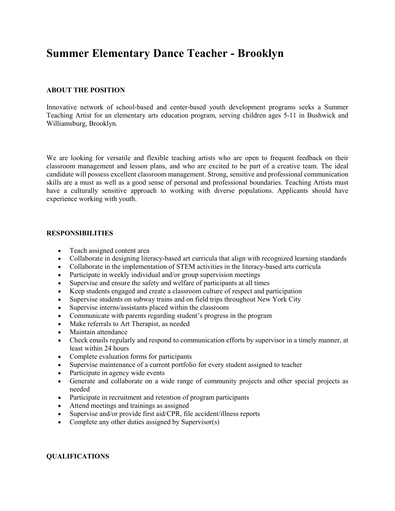# **Summer Elementary Dance Teacher - Brooklyn**

# **ABOUT THE POSITION**

Innovative network of school-based and center-based youth development programs seeks a Summer Teaching Artist for an elementary arts education program, serving children ages 5-11 in Bushwick and Williamsburg, Brooklyn.

We are looking for versatile and flexible teaching artists who are open to frequent feedback on their classroom management and lesson plans, and who are excited to be part of a creative team. The ideal candidate will possess excellent classroom management. Strong, sensitive and professional communication skills are a must as well as a good sense of personal and professional boundaries. Teaching Artists must have a culturally sensitive approach to working with diverse populations. Applicants should have experience working with youth.

## **RESPONSIBILITIES**

- Teach assigned content area
- Collaborate in designing literacy-based art curricula that align with recognized learning standards
- Collaborate in the implementation of STEM activities in the literacy-based arts curricula
- Participate in weekly individual and/or group supervision meetings
- Supervise and ensure the safety and welfare of participants at all times
- Keep students engaged and create a classroom culture of respect and participation
- Supervise students on subway trains and on field trips throughout New York City
- Supervise interns/assistants placed within the classroom
- Communicate with parents regarding student's progress in the program
- Make referrals to Art Therapist, as needed
- Maintain attendance
- Check emails regularly and respond to communication efforts by supervisor in a timely manner, at least within 24 hours
- Complete evaluation forms for participants
- Supervise maintenance of a current portfolio for every student assigned to teacher
- Participate in agency wide events
- Generate and collaborate on a wide range of community projects and other special projects as needed
- Participate in recruitment and retention of program participants
- Attend meetings and trainings as assigned
- Supervise and/or provide first aid/CPR, file accident/illness reports
- Complete any other duties assigned by Supervisor(s)

# **QUALIFICATIONS**